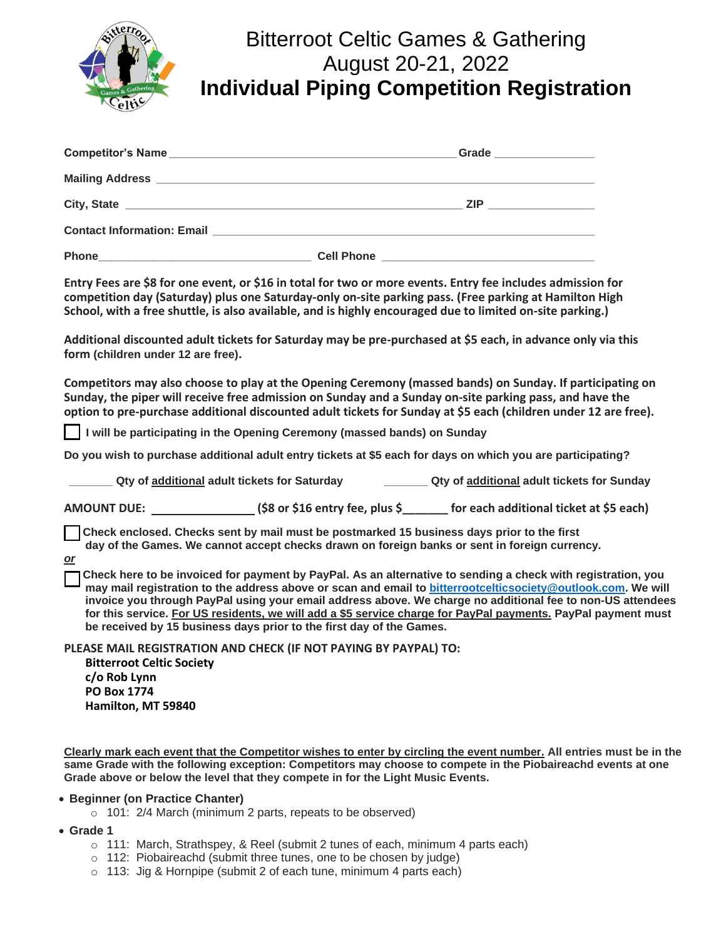

# Bitterroot Celtic Games & Gathering August 20-21, 2022 **Individual Piping Competition Registration**

|              |                   | Grade __________________ |  |
|--------------|-------------------|--------------------------|--|
|              |                   |                          |  |
|              |                   | ZIP ________________     |  |
|              |                   |                          |  |
| <b>Phone</b> | <b>Cell Phone</b> |                          |  |

**Entry Fees are \$8 for one event, or \$16 in total for two or more events. Entry fee includes admission for competition day (Saturday) plus one Saturday-only on-site parking pass. (Free parking at Hamilton High School, with a free shuttle, is also available, and is highly encouraged due to limited on-site parking.)**

**Additional discounted adult tickets for Saturday may be pre-purchased at \$5 each, in advance only via this form (children under 12 are free).**

**Competitors may also choose to play at the Opening Ceremony (massed bands) on Sunday. If participating on Sunday, the piper will receive free admission on Sunday and a Sunday on-site parking pass, and have the option to pre-purchase additional discounted adult tickets for Sunday at \$5 each (children under 12 are free).**

 **I will be participating in the Opening Ceremony (massed bands) on Sunday**

**Do you wish to purchase additional adult entry tickets at \$5 each for days on which you are participating?**

**\_\_\_\_\_\_\_ Qty of additional adult tickets for Saturday \_\_\_\_\_\_\_ Qty of additional adult tickets for Sunday**

**AMOUNT DUE: (\$8 or \$16 entry fee, plus \$\_\_\_\_\_\_\_ for each additional ticket at \$5 each)**

 **Check enclosed. Checks sent by mail must be postmarked 15 business days prior to the first day of the Games. We cannot accept checks drawn on foreign banks or sent in foreign currency.**

*or*

 **Check here to be invoiced for payment by PayPal. As an alternative to sending a check with registration, you may mail registration to the address above or scan and email to [bitterrootcelticsociety@outlook.com.](mailto:bitterrootcelticsociety@outlook.com) We will invoice you through PayPal using your email address above. We charge no additional fee to non-US attendees for this service. For US residents, we will add a \$5 service charge for PayPal payments. PayPal payment must be received by 15 business days prior to the first day of the Games.**

**PLEASE MAIL REGISTRATION AND CHECK (IF NOT PAYING BY PAYPAL) TO: Bitterroot Celtic Society c/o Rob Lynn PO Box 1774 Hamilton, MT 59840**

**Clearly mark each event that the Competitor wishes to enter by circling the event number. All entries must be in the same Grade with the following exception: Competitors may choose to compete in the Piobaireachd events at one Grade above or below the level that they compete in for the Light Music Events.**

## • **Beginner (on Practice Chanter)**

 $\circ$  101: 2/4 March (minimum 2 parts, repeats to be observed)

- **Grade 1**
	- $\circ$  111: March, Strathspey, & Reel (submit 2 tunes of each, minimum 4 parts each)
	- o 112: Piobaireachd (submit three tunes, one to be chosen by judge)
	- $\circ$  113: Jig & Hornpipe (submit 2 of each tune, minimum 4 parts each)